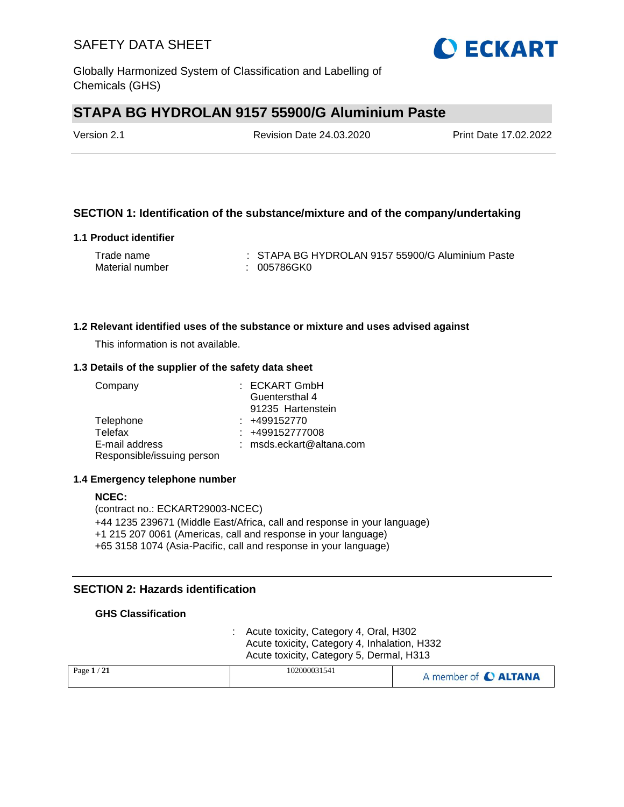

# **STAPA BG HYDROLAN 9157 55900/G Aluminium Paste**

| Version 2.1 | <b>Revision Date 24.03.2020</b> | Print Date 17.02.2022 |
|-------------|---------------------------------|-----------------------|
|             |                                 |                       |

### **SECTION 1: Identification of the substance/mixture and of the company/undertaking**

#### **1.1 Product identifier**

| Trade name      | : STAPA BG HYDROLAN 9157 55900/G Aluminium Paste |
|-----------------|--------------------------------------------------|
| Material number | : 005786GK0                                      |

#### **1.2 Relevant identified uses of the substance or mixture and uses advised against**

This information is not available.

#### **1.3 Details of the supplier of the safety data sheet**

| Company                    | : ECKART GmbH            |
|----------------------------|--------------------------|
|                            | Guentersthal 4           |
|                            | 91235 Hartenstein        |
| Telephone                  | $: +499152770$           |
| Telefax                    | $: +499152777008$        |
| E-mail address             | : msds.eckart@altana.com |
| Responsible/issuing person |                          |

#### **1.4 Emergency telephone number**

#### **NCEC:** (contract no.: ECKART29003-NCEC) +44 1235 239671 (Middle East/Africa, call and response in your language) +1 215 207 0061 (Americas, call and response in your language) +65 3158 1074 (Asia-Pacific, call and response in your language)

### **SECTION 2: Hazards identification**

#### **GHS Classification**

: Acute toxicity, Category 4, Oral, H302 Acute toxicity, Category 4, Inhalation, H332 Acute toxicity, Category 5, Dermal, H313

| Page $1/21$ | 102000031541 | A member of C ALTANA |
|-------------|--------------|----------------------|
|             |              |                      |

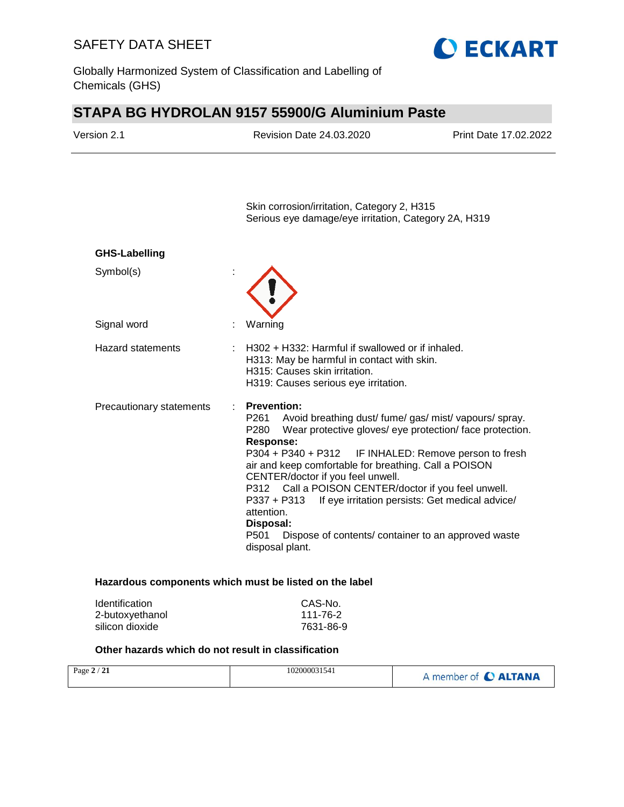Globally Harmonized System of Classification and Labelling of Chemicals (GHS)

# **STAPA BG HYDROLAN 9157 55900/G Aluminium Paste**

**O ECKART** 

| Version 2.1                        | Revision Date 24.03.2020                                                                                                                                                                                                                                                   | Print Date 17.02.2022                                                                                                                                                                                                                                                                 |
|------------------------------------|----------------------------------------------------------------------------------------------------------------------------------------------------------------------------------------------------------------------------------------------------------------------------|---------------------------------------------------------------------------------------------------------------------------------------------------------------------------------------------------------------------------------------------------------------------------------------|
|                                    | Skin corrosion/irritation, Category 2, H315<br>Serious eye damage/eye irritation, Category 2A, H319                                                                                                                                                                        |                                                                                                                                                                                                                                                                                       |
| <b>GHS-Labelling</b>               |                                                                                                                                                                                                                                                                            |                                                                                                                                                                                                                                                                                       |
| Symbol(s)                          |                                                                                                                                                                                                                                                                            |                                                                                                                                                                                                                                                                                       |
| Signal word                        | Warning                                                                                                                                                                                                                                                                    |                                                                                                                                                                                                                                                                                       |
| <b>Hazard statements</b>           | H302 + H332: Harmful if swallowed or if inhaled.<br>H313: May be harmful in contact with skin.<br>H315: Causes skin irritation.<br>H319: Causes serious eye irritation.                                                                                                    |                                                                                                                                                                                                                                                                                       |
| Precautionary statements           | <b>Prevention:</b><br>P261<br>P280<br>Response:<br>air and keep comfortable for breathing. Call a POISON<br>CENTER/doctor if you feel unwell.<br>P312 Call a POISON CENTER/doctor if you feel unwell.<br>P337 + P313<br>attention.<br>Disposal:<br>P501<br>disposal plant. | Avoid breathing dust/ fume/ gas/ mist/ vapours/ spray.<br>Wear protective gloves/ eye protection/ face protection.<br>P304 + P340 + P312 IF INHALED: Remove person to fresh<br>If eye irritation persists: Get medical advice/<br>Dispose of contents/ container to an approved waste |
| Identification                     | Hazardous components which must be listed on the label<br>CAS-No.                                                                                                                                                                                                          |                                                                                                                                                                                                                                                                                       |
| 2-butoxyethanol<br>silicon dioxide | 111-76-2<br>7631-86-9                                                                                                                                                                                                                                                      |                                                                                                                                                                                                                                                                                       |

| Page $2/21$ | 102000031541 | A member of C ALTANA |
|-------------|--------------|----------------------|
|             |              |                      |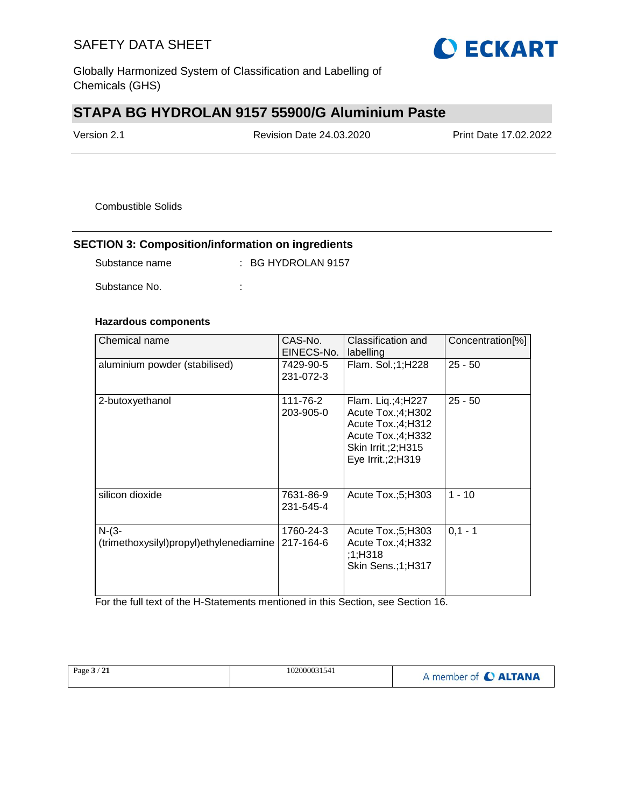

Globally Harmonized System of Classification and Labelling of Chemicals (GHS)

# **STAPA BG HYDROLAN 9157 55900/G Aluminium Paste**

| Version 2.1 | Revision Date 24.03.2020 | <b>Print Date 17.02.2022</b> |
|-------------|--------------------------|------------------------------|
|             |                          |                              |

Combustible Solids

## **SECTION 3: Composition/information on ingredients**

| Substance name | $\therefore$ BG HYDROLAN 9157 |
|----------------|-------------------------------|
|                |                               |

Substance No. **:** : :

### **Hazardous components**

| Chemical name                                      | CAS-No.<br>EINECS-No.  | Classification and<br>labelling                                                                                                     | Concentration[%] |
|----------------------------------------------------|------------------------|-------------------------------------------------------------------------------------------------------------------------------------|------------------|
| aluminium powder (stabilised)                      | 7429-90-5<br>231-072-3 | Flam. Sol.; 1; H228                                                                                                                 | $25 - 50$        |
| 2-butoxyethanol                                    | 111-76-2<br>203-905-0  | Flam. Liq.;4;H227<br>Acute Tox.;4;H302<br>Acute $Tox$ : 4; H312<br>Acute Tox.;4;H332<br>Skin Irrit.; 2; H315<br>Eye Irrit.; 2; H319 | $25 - 50$        |
| silicon dioxide                                    | 7631-86-9<br>231-545-4 | Acute $Tox.:5:H303$                                                                                                                 | $1 - 10$         |
| $N-(3-$<br>(trimethoxysilyl)propyl)ethylenediamine | 1760-24-3<br>217-164-6 | Acute $Tox$ ; 5; H303<br>Acute Tox.;4;H332<br>;1;H318<br>Skin Sens.;1;H317                                                          | $0.1 - 1$        |

For the full text of the H-Statements mentioned in this Section, see Section 16.

| Page $3/21$ | 102000031541 | A member of C ALTANA |
|-------------|--------------|----------------------|
|             |              |                      |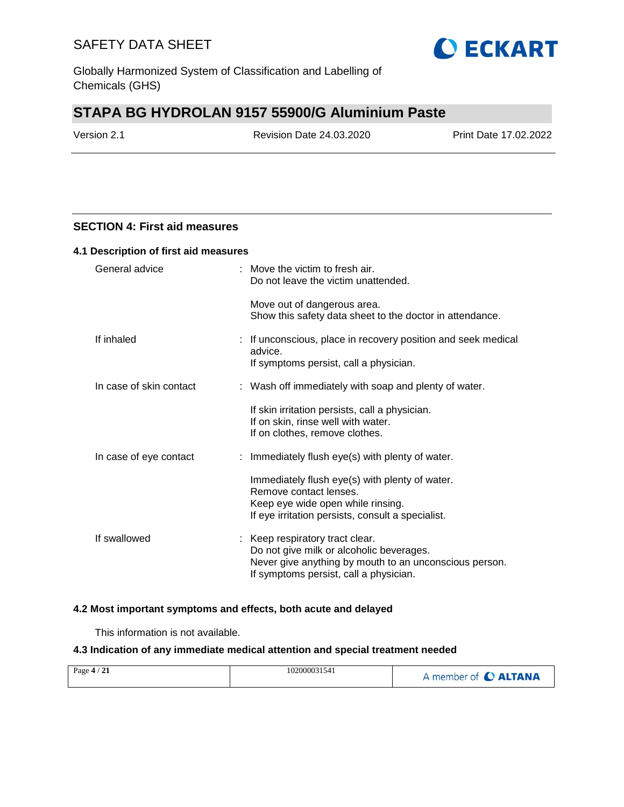

Globally Harmonized System of Classification and Labelling of Chemicals (GHS)

# **STAPA BG HYDROLAN 9157 55900/G Aluminium Paste**

| Version 2.1 |  |
|-------------|--|
|-------------|--|

Revision Date 24.03.2020 Print Date 17.02.2022

### **SECTION 4: First aid measures**

| 4.1 Description of first aid measures |                                                                                                                                                                                 |  |
|---------------------------------------|---------------------------------------------------------------------------------------------------------------------------------------------------------------------------------|--|
| General advice                        | : Move the victim to fresh air.<br>Do not leave the victim unattended.                                                                                                          |  |
|                                       | Move out of dangerous area.<br>Show this safety data sheet to the doctor in attendance.                                                                                         |  |
| If inhaled                            | : If unconscious, place in recovery position and seek medical<br>advice.<br>If symptoms persist, call a physician.                                                              |  |
|                                       |                                                                                                                                                                                 |  |
| In case of skin contact               | : Wash off immediately with soap and plenty of water.                                                                                                                           |  |
|                                       | If skin irritation persists, call a physician.<br>If on skin, rinse well with water.<br>If on clothes, remove clothes.                                                          |  |
| In case of eye contact                | : Immediately flush eye(s) with plenty of water.                                                                                                                                |  |
|                                       | Immediately flush eye(s) with plenty of water.<br>Remove contact lenses.<br>Keep eye wide open while rinsing.<br>If eye irritation persists, consult a specialist.              |  |
| If swallowed                          | : Keep respiratory tract clear.<br>Do not give milk or alcoholic beverages.<br>Never give anything by mouth to an unconscious person.<br>If symptoms persist, call a physician. |  |

#### **4.2 Most important symptoms and effects, both acute and delayed**

This information is not available.

#### **4.3 Indication of any immediate medical attention and special treatment needed**

| Page $4/21$ | 102000031541 | A member of C ALTANA |
|-------------|--------------|----------------------|
|             |              |                      |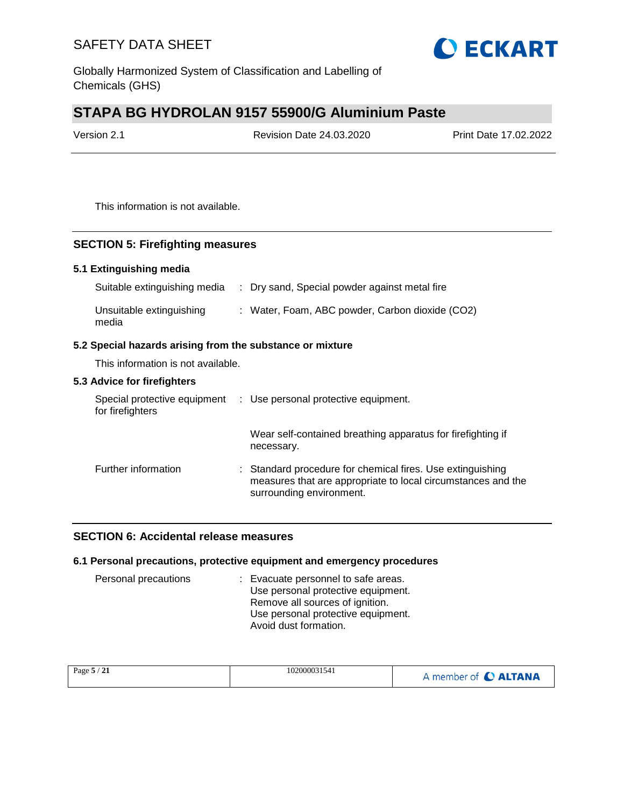

Globally Harmonized System of Classification and Labelling of Chemicals (GHS)

# **STAPA BG HYDROLAN 9157 55900/G Aluminium Paste**

| Version 2.1 | <b>Revision Date 24.03.2020</b> | Print Date 17.02.2022 |  |
|-------------|---------------------------------|-----------------------|--|
|             |                                 |                       |  |

This information is not available.

#### **SECTION 5: Firefighting measures**

#### **5.1 Extinguishing media**

| Suitable extinguishing media      | : Dry sand, Special powder against metal fire   |
|-----------------------------------|-------------------------------------------------|
| Unsuitable extinguishing<br>media | : Water, Foam, ABC powder, Carbon dioxide (CO2) |

#### **5.2 Special hazards arising from the substance or mixture**

This information is not available.

#### **5.3 Advice for firefighters**

| Special protective equipment<br>for firefighters | : Use personal protective equipment.                                                                                                                   |
|--------------------------------------------------|--------------------------------------------------------------------------------------------------------------------------------------------------------|
|                                                  | Wear self-contained breathing apparatus for firefighting if<br>necessary.                                                                              |
| Further information                              | : Standard procedure for chemical fires. Use extinguishing<br>measures that are appropriate to local circumstances and the<br>surrounding environment. |

#### **SECTION 6: Accidental release measures**

#### **6.1 Personal precautions, protective equipment and emergency procedures**

| Personal precautions | : Evacuate personnel to safe areas. |
|----------------------|-------------------------------------|
|                      | Use personal protective equipment.  |
|                      | Remove all sources of ignition.     |
|                      | Use personal protective equipment.  |
|                      | Avoid dust formation.               |

| Page $5/21$ | 102000031541 | A member of C ALTANA |
|-------------|--------------|----------------------|
|             |              |                      |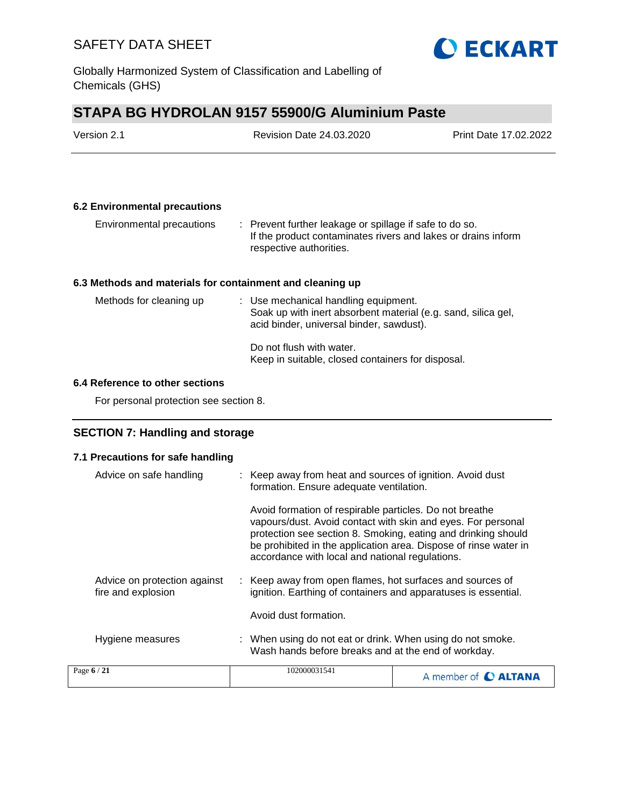

# **STAPA BG HYDROLAN 9157 55900/G Aluminium Paste**

| Version 2.1                                               | <b>Revision Date 24.03.2020</b>                                                                                                                                | Print Date 17.02.2022 |
|-----------------------------------------------------------|----------------------------------------------------------------------------------------------------------------------------------------------------------------|-----------------------|
|                                                           |                                                                                                                                                                |                       |
| <b>6.2 Environmental precautions</b>                      |                                                                                                                                                                |                       |
| Environmental precautions                                 | $\therefore$ Prevent further leakage or spillage if safe to do so.<br>If the product contaminates rivers and lakes or drains inform<br>respective authorities. |                       |
| 6.3 Methods and materials for containment and cleaning up |                                                                                                                                                                |                       |
| Methods for cleaning up                                   | : Use mechanical handling equipment.<br>Soak up with inert absorbent material (e.g. sand, silica gel,<br>acid binder, universal binder, sawdust).              |                       |
|                                                           | Do not flush with water.<br>Keep in suitable, closed containers for disposal.                                                                                  |                       |
| 6.4 Reference to other sections                           |                                                                                                                                                                |                       |
| For personal protection see section 8.                    |                                                                                                                                                                |                       |

## **SECTION 7: Handling and storage**

## **7.1 Precautions for safe handling**

| Advice on safe handling                            | : Keep away from heat and sources of ignition. Avoid dust<br>formation. Ensure adequate ventilation.                                                                                                                                                                                                            |                             |
|----------------------------------------------------|-----------------------------------------------------------------------------------------------------------------------------------------------------------------------------------------------------------------------------------------------------------------------------------------------------------------|-----------------------------|
|                                                    | Avoid formation of respirable particles. Do not breathe<br>vapours/dust. Avoid contact with skin and eyes. For personal<br>protection see section 8. Smoking, eating and drinking should<br>be prohibited in the application area. Dispose of rinse water in<br>accordance with local and national regulations. |                             |
| Advice on protection against<br>fire and explosion | : Keep away from open flames, hot surfaces and sources of<br>ignition. Earthing of containers and apparatuses is essential.                                                                                                                                                                                     |                             |
|                                                    | Avoid dust formation.                                                                                                                                                                                                                                                                                           |                             |
| Hygiene measures                                   | : When using do not eat or drink. When using do not smoke.<br>Wash hands before breaks and at the end of workday.                                                                                                                                                                                               |                             |
| Page 6 / 21                                        | 102000031541                                                                                                                                                                                                                                                                                                    | A member of <b>C ALTANA</b> |

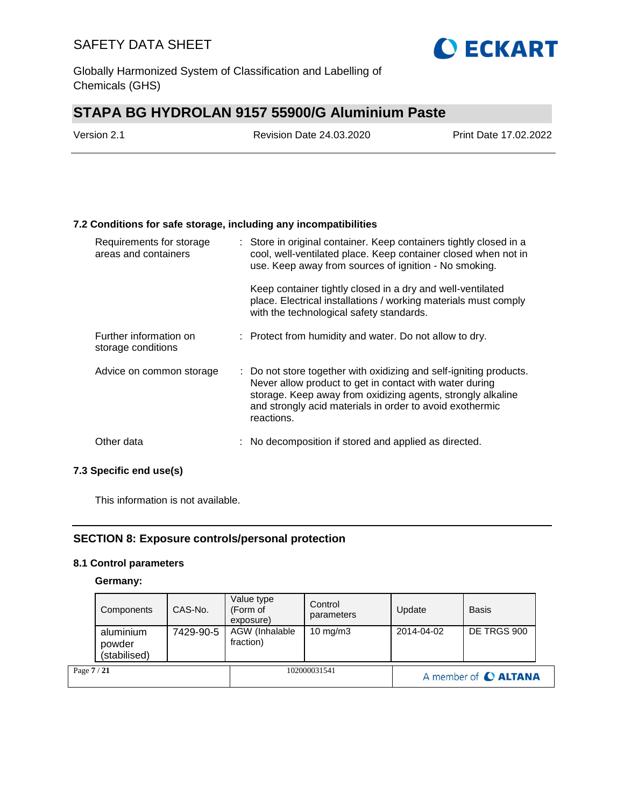

Globally Harmonized System of Classification and Labelling of Chemicals (GHS)

# **STAPA BG HYDROLAN 9157 55900/G Aluminium Paste**

| Version 2.1 | <b>Revision Date 24.03.2020</b> | <b>Print Date 17.02.2022</b> |  |
|-------------|---------------------------------|------------------------------|--|
|             |                                 |                              |  |

#### **7.2 Conditions for safe storage, including any incompatibilities**

| Requirements for storage<br>areas and containers | : Store in original container. Keep containers tightly closed in a<br>cool, well-ventilated place. Keep container closed when not in<br>use. Keep away from sources of ignition - No smoking.                                                                          |
|--------------------------------------------------|------------------------------------------------------------------------------------------------------------------------------------------------------------------------------------------------------------------------------------------------------------------------|
|                                                  | Keep container tightly closed in a dry and well-ventilated<br>place. Electrical installations / working materials must comply<br>with the technological safety standards.                                                                                              |
| Further information on<br>storage conditions     | : Protect from humidity and water. Do not allow to dry.                                                                                                                                                                                                                |
| Advice on common storage                         | : Do not store together with oxidizing and self-igniting products.<br>Never allow product to get in contact with water during<br>storage. Keep away from oxidizing agents, strongly alkaline<br>and strongly acid materials in order to avoid exothermic<br>reactions. |
| Other data                                       | : No decomposition if stored and applied as directed.                                                                                                                                                                                                                  |

### **7.3 Specific end use(s)**

This information is not available.

### **SECTION 8: Exposure controls/personal protection**

#### **8.1 Control parameters**

#### **Germany:**

| Page 7 / 21 |                                     |           |                                     | 102000031541          |            | A member of C ALTANA |  |
|-------------|-------------------------------------|-----------|-------------------------------------|-----------------------|------------|----------------------|--|
|             | aluminium<br>powder<br>(stabilised) | 7429-90-5 | AGW (Inhalable<br>fraction)         | $10 \text{ mg/m}$     | 2014-04-02 | DE TRGS 900          |  |
|             | Components                          | CAS-No.   | Value type<br>(Form of<br>exposure) | Control<br>parameters | Update     | <b>Basis</b>         |  |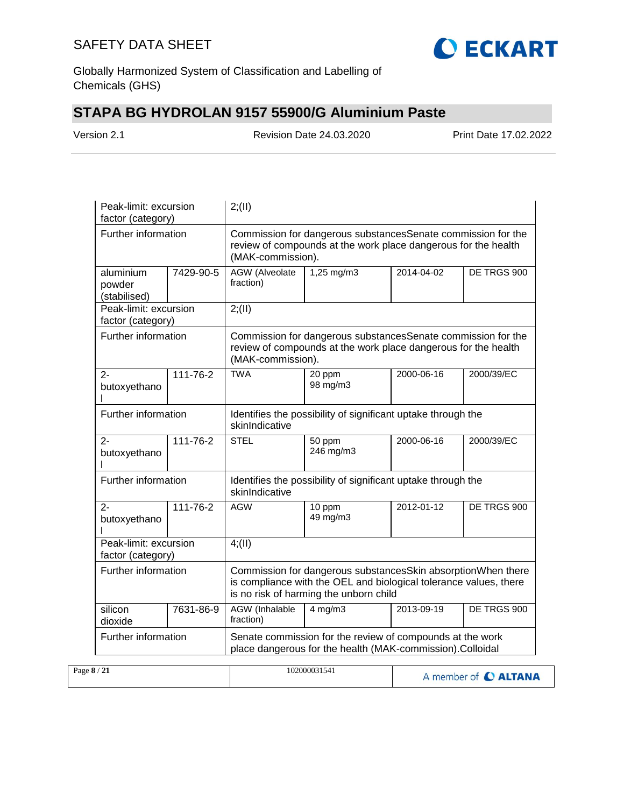

Globally Harmonized System of Classification and Labelling of Chemicals (GHS)

# **STAPA BG HYDROLAN 9157 55900/G Aluminium Paste**

Version 2.1 Revision Date 24.03.2020 Print Date 17.02.2022

| Peak-limit: excursion<br>factor (category) |                | 2; (II)                                                                                                                                             |                                                                                                                                                                             |             |             |  |
|--------------------------------------------|----------------|-----------------------------------------------------------------------------------------------------------------------------------------------------|-----------------------------------------------------------------------------------------------------------------------------------------------------------------------------|-------------|-------------|--|
| Further information                        |                | Commission for dangerous substancesSenate commission for the<br>review of compounds at the work place dangerous for the health<br>(MAK-commission). |                                                                                                                                                                             |             |             |  |
| aluminium<br>powder<br>(stabilised)        | 7429-90-5      | <b>AGW</b> (Alveolate<br>fraction)                                                                                                                  | $1,25$ mg/m3                                                                                                                                                                | 2014-04-02  | DE TRGS 900 |  |
| Peak-limit: excursion<br>factor (category) |                | 2; (II)                                                                                                                                             |                                                                                                                                                                             |             |             |  |
| Further information                        |                | (MAK-commission).                                                                                                                                   | Commission for dangerous substancesSenate commission for the<br>review of compounds at the work place dangerous for the health                                              |             |             |  |
| $2 -$<br>butoxyethano                      | 111-76-2       | <b>TWA</b>                                                                                                                                          | 20 ppm<br>98 mg/m3                                                                                                                                                          | 2000-06-16  | 2000/39/EC  |  |
| Further information                        |                | Identifies the possibility of significant uptake through the<br>skinIndicative                                                                      |                                                                                                                                                                             |             |             |  |
| $2 -$<br>butoxyethano                      | $111 - 76 - 2$ | <b>STEL</b>                                                                                                                                         | 50 ppm<br>246 mg/m3                                                                                                                                                         | 2000-06-16  | 2000/39/EC  |  |
| Further information                        |                | Identifies the possibility of significant uptake through the<br>skinIndicative                                                                      |                                                                                                                                                                             |             |             |  |
| $2 -$<br>butoxyethano                      | $111 - 76 - 2$ | <b>AGW</b>                                                                                                                                          | $\overline{10}$ ppm<br>49 mg/m3                                                                                                                                             | 2012-01-12  | DE TRGS 900 |  |
| Peak-limit: excursion<br>factor (category) |                | 4(11)                                                                                                                                               |                                                                                                                                                                             |             |             |  |
| Further information                        |                |                                                                                                                                                     | Commission for dangerous substancesSkin absorptionWhen there<br>is compliance with the OEL and biological tolerance values, there<br>is no risk of harming the unborn child |             |             |  |
| silicon<br>dioxide                         | 7631-86-9      | AGW (Inhalable<br>2013-09-19<br>$4$ mg/m $3$<br>fraction)                                                                                           |                                                                                                                                                                             | DE TRGS 900 |             |  |
| Further information                        |                | Senate commission for the review of compounds at the work<br>place dangerous for the health (MAK-commission).Colloidal                              |                                                                                                                                                                             |             |             |  |

| Page $8/21$ | 102000031541 | A member of C ALTANA |
|-------------|--------------|----------------------|
|             |              |                      |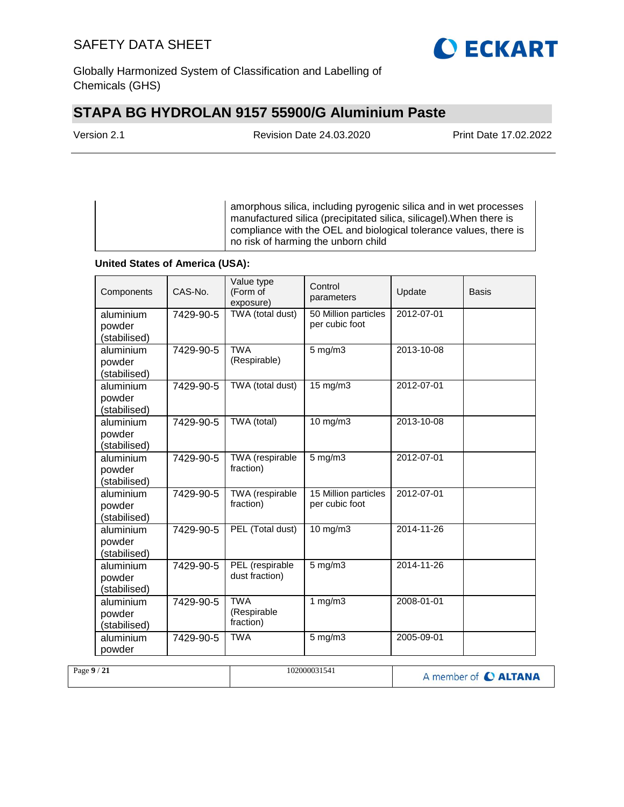

Globally Harmonized System of Classification and Labelling of Chemicals (GHS)

# **STAPA BG HYDROLAN 9157 55900/G Aluminium Paste**

| Version 2.1 |  |
|-------------|--|
|-------------|--|

Revision Date 24.03.2020 Print Date 17.02.2022

amorphous silica, including pyrogenic silica and in wet processes manufactured silica (precipitated silica, silicagel).When there is compliance with the OEL and biological tolerance values, there is no risk of harming the unborn child

### **United States of America (USA):**

| Components                          | CAS-No.   | Value type<br>(Form of<br>exposure)    | Control<br>parameters                  | Update     | Basis |
|-------------------------------------|-----------|----------------------------------------|----------------------------------------|------------|-------|
| aluminium<br>powder<br>(stabilised) | 7429-90-5 | TWA (total dust)                       | 50 Million particles<br>per cubic foot | 2012-07-01 |       |
| aluminium<br>powder<br>(stabilised) | 7429-90-5 | <b>TWA</b><br>(Respirable)             | $5$ mg/m $3$                           | 2013-10-08 |       |
| aluminium<br>powder<br>(stabilised) | 7429-90-5 | TWA (total dust)                       | 15 mg/m3                               | 2012-07-01 |       |
| aluminium<br>powder<br>(stabilised) | 7429-90-5 | TWA (total)                            | 10 mg/m3                               | 2013-10-08 |       |
| aluminium<br>powder<br>(stabilised) | 7429-90-5 | TWA (respirable<br>fraction)           | $5$ mg/m $3$                           | 2012-07-01 |       |
| aluminium<br>powder<br>(stabilised) | 7429-90-5 | TWA (respirable<br>fraction)           | 15 Million particles<br>per cubic foot | 2012-07-01 |       |
| aluminium<br>powder<br>(stabilised) | 7429-90-5 | PEL (Total dust)                       | 10 mg/m3                               | 2014-11-26 |       |
| aluminium<br>powder<br>(stabilised) | 7429-90-5 | PEL (respirable<br>dust fraction)      | $5$ mg/m $3$                           | 2014-11-26 |       |
| aluminium<br>powder<br>(stabilised) | 7429-90-5 | <b>TWA</b><br>(Respirable<br>fraction) | 1 $mg/m3$                              | 2008-01-01 |       |
| aluminium<br>powder                 | 7429-90-5 | <b>TWA</b>                             | $5$ mg/m $3$                           | 2005-09-01 |       |

| Page $9/21$ | 102000031541 | A member of C ALTANA |
|-------------|--------------|----------------------|
|             |              |                      |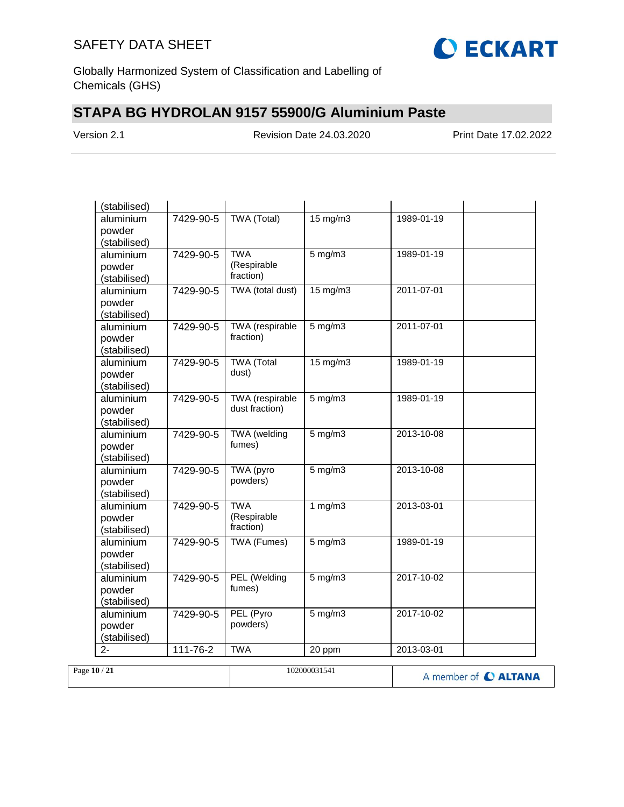

Globally Harmonized System of Classification and Labelling of Chemicals (GHS)

# **STAPA BG HYDROLAN 9157 55900/G Aluminium Paste**

Version 2.1 Revision Date 24.03.2020 Print Date 17.02.2022

| <b>TWA (Total)</b><br>$15 \text{ mg/m}$<br>aluminium<br>7429-90-5<br>1989-01-19<br>powder<br>(stabilised)<br><b>TWA</b><br>$5$ mg/m $3$<br>1989-01-19<br>aluminium<br>7429-90-5<br>(Respirable<br>powder<br>fraction)<br>(stabilised) |  |
|---------------------------------------------------------------------------------------------------------------------------------------------------------------------------------------------------------------------------------------|--|
|                                                                                                                                                                                                                                       |  |
|                                                                                                                                                                                                                                       |  |
|                                                                                                                                                                                                                                       |  |
|                                                                                                                                                                                                                                       |  |
|                                                                                                                                                                                                                                       |  |
|                                                                                                                                                                                                                                       |  |
| TWA (total dust)<br>$15 \text{ mg/m}$<br>2011-07-01<br>7429-90-5<br>aluminium                                                                                                                                                         |  |
| powder                                                                                                                                                                                                                                |  |
| (stabilised)                                                                                                                                                                                                                          |  |
| TWA (respirable<br>2011-07-01<br>aluminium<br>7429-90-5<br>$5$ mg/m $3$                                                                                                                                                               |  |
| fraction)<br>powder                                                                                                                                                                                                                   |  |
| (stabilised)                                                                                                                                                                                                                          |  |
| <b>TWA (Total</b><br>15 mg/m3<br>1989-01-19<br>aluminium<br>7429-90-5                                                                                                                                                                 |  |
| dust)<br>powder                                                                                                                                                                                                                       |  |
| (stabilised)                                                                                                                                                                                                                          |  |
| <b>TWA</b> (respirable<br>$5$ mg/m $3$<br>1989-01-19<br>7429-90-5<br>aluminium                                                                                                                                                        |  |
| dust fraction)<br>powder                                                                                                                                                                                                              |  |
| (stabilised)                                                                                                                                                                                                                          |  |
| <b>TWA</b> (welding<br>aluminium<br>$5$ mg/m $3$<br>7429-90-5<br>2013-10-08                                                                                                                                                           |  |
| fumes)<br>powder                                                                                                                                                                                                                      |  |
| (stabilised)                                                                                                                                                                                                                          |  |
| TWA (pyro<br>$5$ mg/m $3$<br>2013-10-08<br>aluminium<br>7429-90-5                                                                                                                                                                     |  |
| powders)<br>powder                                                                                                                                                                                                                    |  |
| (stabilised)                                                                                                                                                                                                                          |  |
| <b>TWA</b><br>1 $mg/m3$<br>2013-03-01<br>7429-90-5<br>aluminium                                                                                                                                                                       |  |
| (Respirable<br>powder                                                                                                                                                                                                                 |  |
| fraction)<br>(stabilised)                                                                                                                                                                                                             |  |
| <b>TWA (Fumes)</b><br>$5$ mg/m $3$<br>1989-01-19<br>aluminium<br>7429-90-5                                                                                                                                                            |  |
| powder                                                                                                                                                                                                                                |  |
| (stabilised)                                                                                                                                                                                                                          |  |
| PEL (Welding<br>5 mg/m3<br>2017-10-02<br>aluminium<br>7429-90-5                                                                                                                                                                       |  |
| fumes)<br>powder                                                                                                                                                                                                                      |  |
| (stabilised)                                                                                                                                                                                                                          |  |
| PEL (Pyro<br>$5$ mg/m $3$<br>2017-10-02<br>7429-90-5<br>aluminium                                                                                                                                                                     |  |
| powders)<br>powder                                                                                                                                                                                                                    |  |
| (stabilised)                                                                                                                                                                                                                          |  |
| $111 - 76 - 2$<br><b>TWA</b><br>2013-03-01<br>20 ppm<br>$2 -$                                                                                                                                                                         |  |

| Page 10 / 21 | 102000031541 | A member of C ALTANA |
|--------------|--------------|----------------------|
|              |              |                      |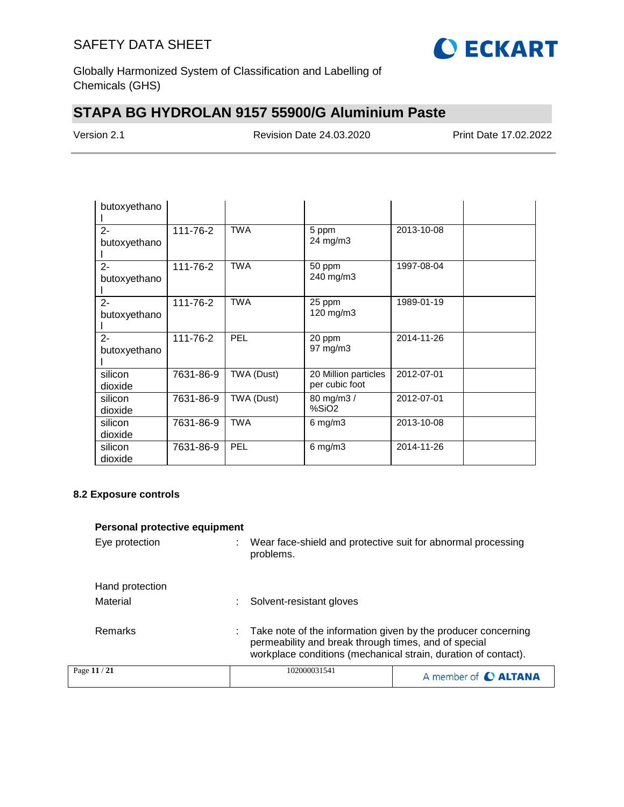

Globally Harmonized System of Classification and Labelling of Chemicals (GHS)

# **STAPA BG HYDROLAN 9157 55900/G Aluminium Paste**

Version 2.1 Revision Date 24.03.2020 Print Date 17.02.2022

| butoxyethano          |           |            |                                        |            |  |
|-----------------------|-----------|------------|----------------------------------------|------------|--|
| $2 -$<br>butoxyethano | 111-76-2  | <b>TWA</b> | 5 ppm<br>24 mg/m3                      | 2013-10-08 |  |
| $2 -$<br>butoxyethano | 111-76-2  | <b>TWA</b> | 50 ppm<br>240 mg/m3                    | 1997-08-04 |  |
| $2 -$<br>butoxyethano | 111-76-2  | <b>TWA</b> | 25 ppm<br>120 mg/m3                    | 1989-01-19 |  |
| $2 -$<br>butoxyethano | 111-76-2  | PEL        | 20 ppm<br>$97 \text{ mg/m}$ 3          | 2014-11-26 |  |
| silicon<br>dioxide    | 7631-86-9 | TWA (Dust) | 20 Million particles<br>per cubic foot | 2012-07-01 |  |
| silicon<br>dioxide    | 7631-86-9 | TWA (Dust) | 80 mg/m3 /<br>%SiO <sub>2</sub>        | 2012-07-01 |  |
| silicon<br>dioxide    | 7631-86-9 | <b>TWA</b> | $6 \text{ mg/m}$ 3                     | 2013-10-08 |  |
| silicon<br>dioxide    | 7631-86-9 | PEL        | $6$ mg/m $3$                           | 2014-11-26 |  |

#### **8.2 Exposure controls**

| Personal protective equipment |                                                      |                                                                                                                                 |
|-------------------------------|------------------------------------------------------|---------------------------------------------------------------------------------------------------------------------------------|
| Eye protection                | problems.                                            | Wear face-shield and protective suit for abnormal processing                                                                    |
| Hand protection               |                                                      |                                                                                                                                 |
| Material                      | Solvent-resistant gloves                             |                                                                                                                                 |
| Remarks                       | permeability and break through times, and of special | Take note of the information given by the producer concerning<br>workplace conditions (mechanical strain, duration of contact). |
| Page 11 / 21                  | 102000031541                                         | A member of <b>C ALTANA</b>                                                                                                     |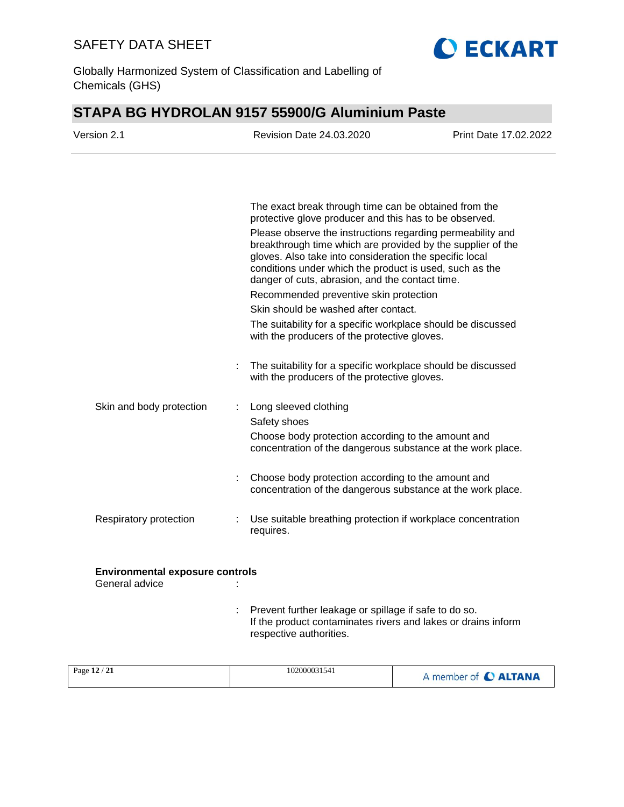

Globally Harmonized System of Classification and Labelling of Chemicals (GHS)

# **STAPA BG HYDROLAN 9157 55900/G Aluminium Paste**

| Version 2.1                                              | <b>Revision Date 24.03.2020</b>                                                                                                                                                                                                                                                                    | <b>Print Date 17.02.2022</b> |
|----------------------------------------------------------|----------------------------------------------------------------------------------------------------------------------------------------------------------------------------------------------------------------------------------------------------------------------------------------------------|------------------------------|
|                                                          |                                                                                                                                                                                                                                                                                                    |                              |
|                                                          | The exact break through time can be obtained from the<br>protective glove producer and this has to be observed.                                                                                                                                                                                    |                              |
|                                                          | Please observe the instructions regarding permeability and<br>breakthrough time which are provided by the supplier of the<br>gloves. Also take into consideration the specific local<br>conditions under which the product is used, such as the<br>danger of cuts, abrasion, and the contact time. |                              |
|                                                          | Recommended preventive skin protection                                                                                                                                                                                                                                                             |                              |
|                                                          | Skin should be washed after contact.                                                                                                                                                                                                                                                               |                              |
|                                                          | The suitability for a specific workplace should be discussed<br>with the producers of the protective gloves.                                                                                                                                                                                       |                              |
|                                                          | The suitability for a specific workplace should be discussed<br>with the producers of the protective gloves.                                                                                                                                                                                       |                              |
| Skin and body protection                                 | Long sleeved clothing                                                                                                                                                                                                                                                                              |                              |
|                                                          | Safety shoes<br>Choose body protection according to the amount and<br>concentration of the dangerous substance at the work place.                                                                                                                                                                  |                              |
|                                                          | Choose body protection according to the amount and<br>concentration of the dangerous substance at the work place.                                                                                                                                                                                  |                              |
| Respiratory protection                                   | Use suitable breathing protection if workplace concentration<br>requires.                                                                                                                                                                                                                          |                              |
| <b>Environmental exposure controls</b><br>General advice |                                                                                                                                                                                                                                                                                                    |                              |
|                                                          | Prevent further leakage or spillage if safe to do so.<br>If the product contaminates rivers and lakes or drains inform<br>respective authorities.                                                                                                                                                  |                              |

|  | Page 12 / 21 | 102000031541 | A member of C ALTANA |
|--|--------------|--------------|----------------------|
|--|--------------|--------------|----------------------|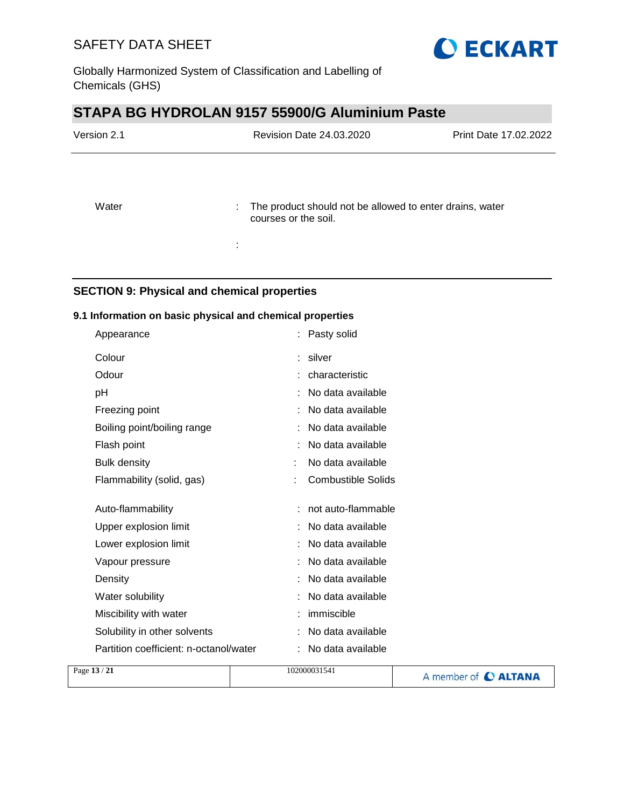

# **STAPA BG HYDROLAN 9157 55900/G Aluminium Paste**

| Version 2.1 | Revision Date 24.03.2020                                                                | <b>Print Date 17.02.2022</b> |
|-------------|-----------------------------------------------------------------------------------------|------------------------------|
| Water       | : The product should not be allowed to enter drains, water<br>courses or the soil.<br>÷ |                              |

### **SECTION 9: Physical and chemical properties**

### **9.1 Information on basic physical and chemical properties**

| Appearance                             | : Pasty solid             |  |
|----------------------------------------|---------------------------|--|
| Colour                                 | : silver                  |  |
| Odour                                  | characteristic            |  |
| рH                                     | No data available         |  |
| Freezing point                         | No data available         |  |
| Boiling point/boiling range            | No data available         |  |
| Flash point                            | No data available         |  |
| <b>Bulk density</b>                    | No data available         |  |
| Flammability (solid, gas)              | <b>Combustible Solids</b> |  |
|                                        |                           |  |
| Auto-flammability                      | not auto-flammable        |  |
| Upper explosion limit                  | No data available         |  |
| Lower explosion limit                  | No data available         |  |
| Vapour pressure                        | No data available         |  |
| Density                                | No data available         |  |
| Water solubility                       | No data available         |  |
| Miscibility with water                 | immiscible                |  |
| Solubility in other solvents           | No data available         |  |
| Partition coefficient: n-octanol/water | No data available         |  |
| $-12/21$                               | 102000021541              |  |

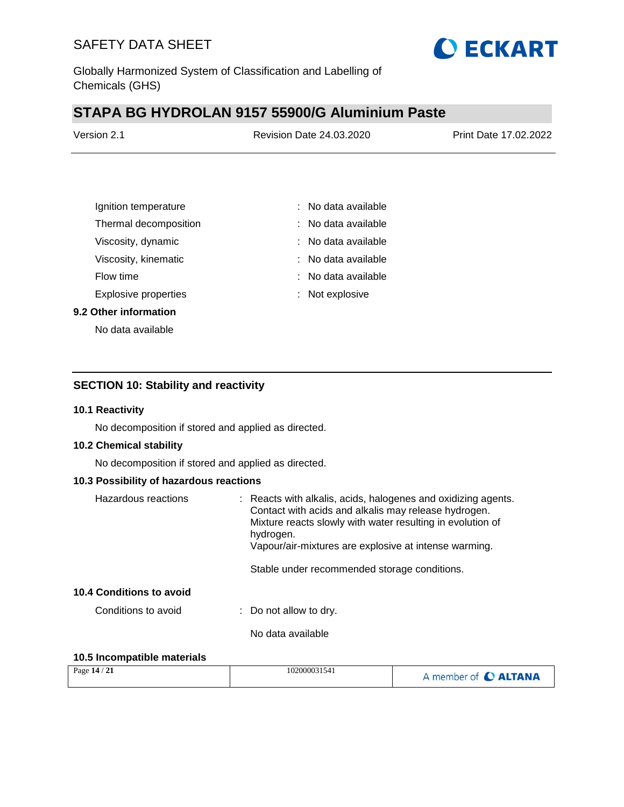

Globally Harmonized System of Classification and Labelling of Chemicals (GHS)

# **STAPA BG HYDROLAN 9157 55900/G Aluminium Paste**

| Version 2.1 | <b>Revision Date 24.03.2020</b> | Print Date 17,02,2022 |
|-------------|---------------------------------|-----------------------|
|             |                                 |                       |

| Ignition temperature        | : No data available   |
|-----------------------------|-----------------------|
| Thermal decomposition       | No data available     |
| Viscosity, dynamic          | $:$ No data available |
| Viscosity, kinematic        | : No data available   |
| Flow time                   | : No data available   |
| <b>Explosive properties</b> | : Not explosive       |
|                             |                       |

#### **9.2 Other information**

No data available

### **SECTION 10: Stability and reactivity**

#### **10.1 Reactivity**

No decomposition if stored and applied as directed.

#### **10.2 Chemical stability**

No decomposition if stored and applied as directed.

#### **10.3 Possibility of hazardous reactions**

| Hazardous reactions                             | : Reacts with alkalis, acids, halogenes and oxidizing agents.<br>Contact with acids and alkalis may release hydrogen.<br>Mixture reacts slowly with water resulting in evolution of<br>hydrogen.<br>Vapour/air-mixtures are explosive at intense warming.<br>Stable under recommended storage conditions. |
|-------------------------------------------------|-----------------------------------------------------------------------------------------------------------------------------------------------------------------------------------------------------------------------------------------------------------------------------------------------------------|
| 10.4 Conditions to avoid<br>Conditions to avoid |                                                                                                                                                                                                                                                                                                           |
|                                                 | $\therefore$ Do not allow to dry.<br>No data available                                                                                                                                                                                                                                                    |

### **10.5 Incompatible materials**

| Page 14 / 21 | 102000031541 | A member of C ALTANA |
|--------------|--------------|----------------------|
|--------------|--------------|----------------------|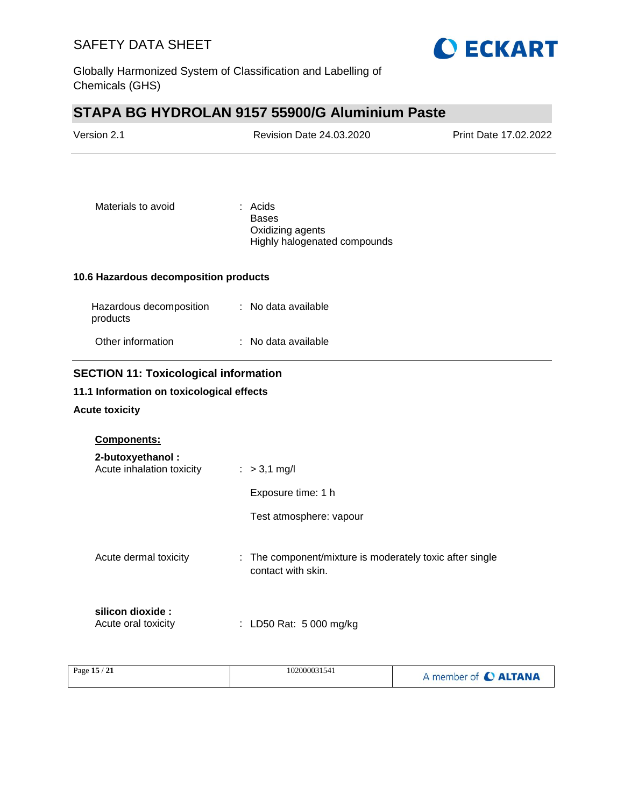

Globally Harmonized System of Classification and Labelling of Chemicals (GHS)

# **STAPA BG HYDROLAN 9157 55900/G Aluminium Paste**

| Version 2.1                                                                                                        | Revision Date 24.03.2020                                                       | Print Date 17.02.2022 |
|--------------------------------------------------------------------------------------------------------------------|--------------------------------------------------------------------------------|-----------------------|
| Materials to avoid                                                                                                 | : Acids<br><b>Bases</b><br>Oxidizing agents<br>Highly halogenated compounds    |                       |
| 10.6 Hazardous decomposition products                                                                              |                                                                                |                       |
| Hazardous decomposition<br>products                                                                                | : No data available                                                            |                       |
| Other information                                                                                                  | : No data available                                                            |                       |
| <b>SECTION 11: Toxicological information</b><br>11.1 Information on toxicological effects<br><b>Acute toxicity</b> |                                                                                |                       |
| <b>Components:</b><br>2-butoxyethanol:<br>Acute inhalation toxicity                                                | $: >3,1$ mg/l<br>Exposure time: 1 h<br>Test atmosphere: vapour                 |                       |
| Acute dermal toxicity                                                                                              | : The component/mixture is moderately toxic after single<br>contact with skin. |                       |
| silicon dioxide :<br>Acute oral toxicity                                                                           | : LD50 Rat: 5 000 mg/kg                                                        |                       |

| Page 15 / 21 | 102000031541<br>. | A member of C ALTANA |
|--------------|-------------------|----------------------|
|--------------|-------------------|----------------------|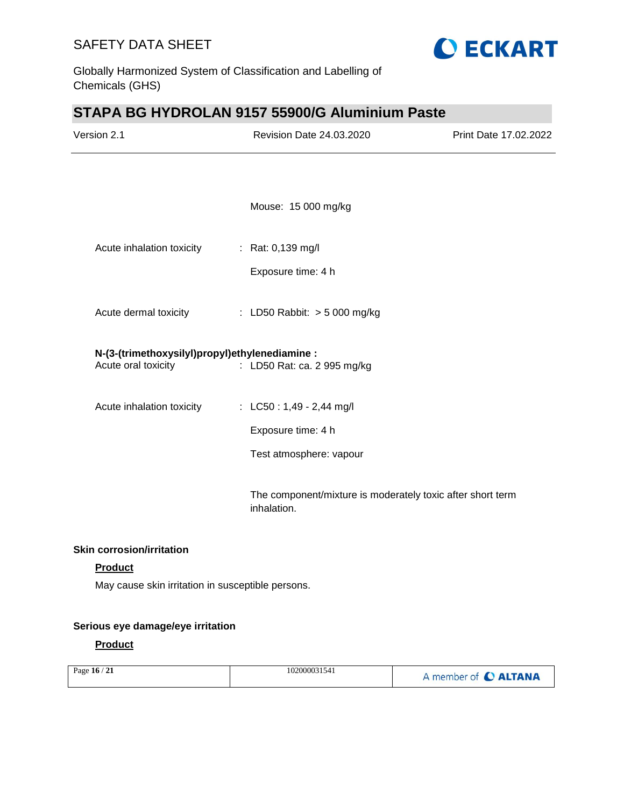

Globally Harmonized System of Classification and Labelling of Chemicals (GHS)

# **STAPA BG HYDROLAN 9157 55900/G Aluminium Paste**

| Version 2.1                                                           | <b>Revision Date 24.03.2020</b>                                           | Print Date 17.02.2022 |
|-----------------------------------------------------------------------|---------------------------------------------------------------------------|-----------------------|
|                                                                       |                                                                           |                       |
|                                                                       | Mouse: 15 000 mg/kg                                                       |                       |
| Acute inhalation toxicity                                             | : Rat: 0,139 mg/l                                                         |                       |
|                                                                       | Exposure time: 4 h                                                        |                       |
| Acute dermal toxicity                                                 | : LD50 Rabbit: $> 5000$ mg/kg                                             |                       |
| N-(3-(trimethoxysilyl)propyl)ethylenediamine :<br>Acute oral toxicity | : LD50 Rat: ca. 2 995 mg/kg                                               |                       |
| Acute inhalation toxicity                                             | : LC50 : 1,49 - 2,44 mg/l                                                 |                       |
|                                                                       | Exposure time: 4 h                                                        |                       |
|                                                                       | Test atmosphere: vapour                                                   |                       |
|                                                                       | The component/mixture is moderately toxic after short term<br>inhalation. |                       |
| <b>Skin corrosion/irritation</b>                                      |                                                                           |                       |

### **Product**

May cause skin irritation in susceptible persons.

#### **Serious eye damage/eye irritation**

### **Product**

| Page 16 / 21 | 102000031541 | A member of C ALTANA |
|--------------|--------------|----------------------|
|              |              |                      |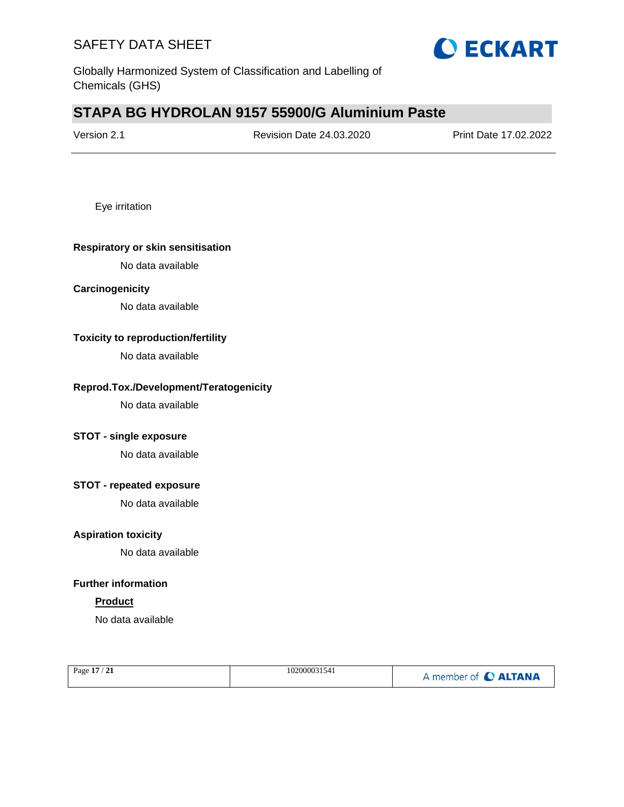

Globally Harmonized System of Classification and Labelling of Chemicals (GHS)

# **STAPA BG HYDROLAN 9157 55900/G Aluminium Paste**

| Version 2.1 | <b>Revision Date 24.03.2020</b> | Print Date 17.02.2022 |
|-------------|---------------------------------|-----------------------|
|             |                                 |                       |

Eye irritation

#### **Respiratory or skin sensitisation**

No data available

#### **Carcinogenicity**

No data available

### **Toxicity to reproduction/fertility**

No data available

#### **Reprod.Tox./Development/Teratogenicity**

No data available

#### **STOT - single exposure**

No data available

#### **STOT - repeated exposure**

No data available

#### **Aspiration toxicity**

No data available

### **Further information**

#### **Product**

No data available

| Page 17 / 21 | 102000031541 | A member of C ALTANA |
|--------------|--------------|----------------------|
|              |              |                      |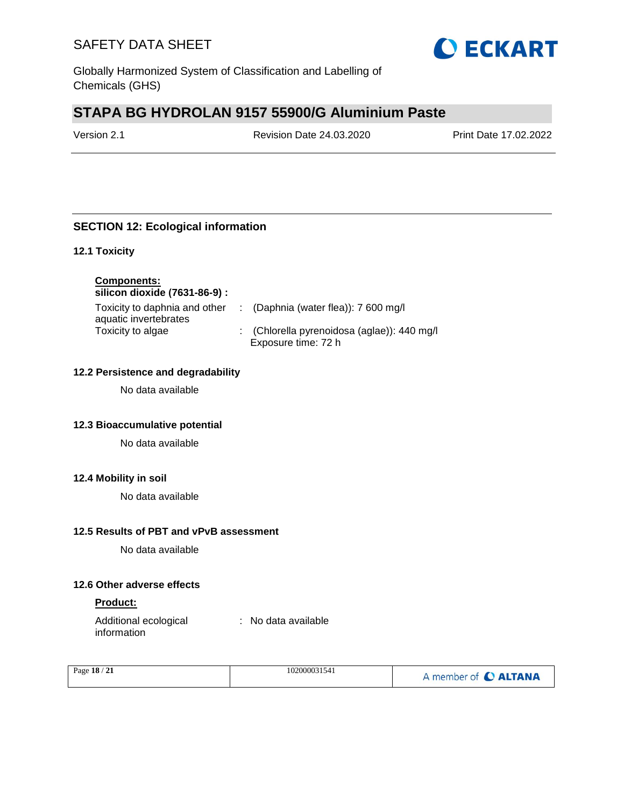

Globally Harmonized System of Classification and Labelling of Chemicals (GHS)

# **STAPA BG HYDROLAN 9157 55900/G Aluminium Paste**

Version 2.1 Revision Date 24.03.2020 Print Date 17.02.2022

## **SECTION 12: Ecological information**

#### **12.1 Toxicity**

**Components:**

**silicon dioxide (7631-86-9) :**

| Toxicity to daphnia and other | : (Daphnia (water flea)): $7600 \text{ mg/l}$ |
|-------------------------------|-----------------------------------------------|
| aquatic invertebrates         |                                               |
| Toxicity to algae             | : (Chlorella pyrenoidosa (aglae)): 440 mg/l   |
|                               | Exposure time: 72 h                           |

#### **12.2 Persistence and degradability**

No data available

#### **12.3 Bioaccumulative potential**

No data available

#### **12.4 Mobility in soil**

No data available

#### **12.5 Results of PBT and vPvB assessment**

No data available

#### **12.6 Other adverse effects**

#### **Product:**

Additional ecological information : No data available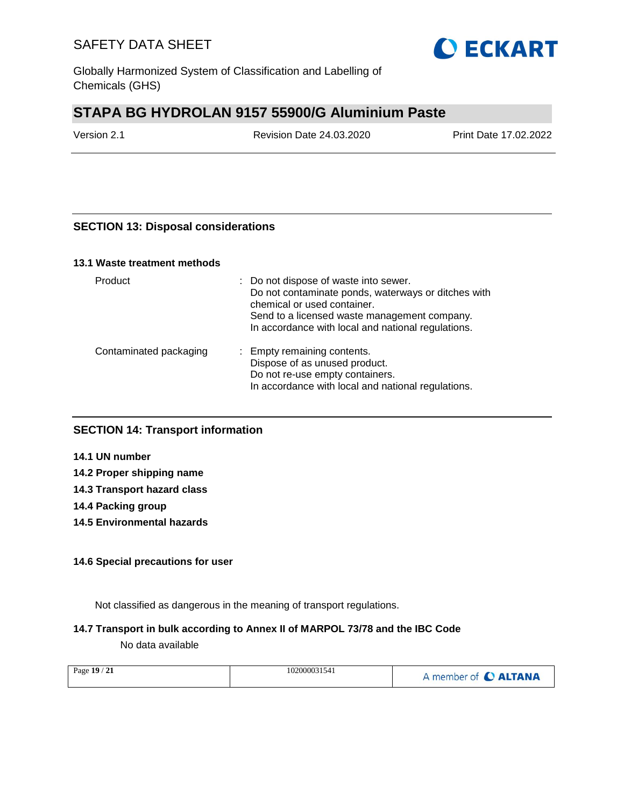

Globally Harmonized System of Classification and Labelling of Chemicals (GHS)

# **STAPA BG HYDROLAN 9157 55900/G Aluminium Paste**

Version 2.1 Revision Date 24.03.2020 Print Date 17.02.2022

### **SECTION 13: Disposal considerations**

#### **13.1 Waste treatment methods**

| Product                | : Do not dispose of waste into sewer.<br>Do not contaminate ponds, waterways or ditches with<br>chemical or used container.<br>Send to a licensed waste management company.<br>In accordance with local and national regulations. |
|------------------------|-----------------------------------------------------------------------------------------------------------------------------------------------------------------------------------------------------------------------------------|
| Contaminated packaging | : Empty remaining contents.<br>Dispose of as unused product.<br>Do not re-use empty containers.<br>In accordance with local and national regulations.                                                                             |

### **SECTION 14: Transport information**

**14.1 UN number**

- **14.2 Proper shipping name**
- **14.3 Transport hazard class**

**14.4 Packing group**

**14.5 Environmental hazards**

#### **14.6 Special precautions for user**

Not classified as dangerous in the meaning of transport regulations.

#### **14.7 Transport in bulk according to Annex II of MARPOL 73/78 and the IBC Code**

No data available

| Page 19 / 21 | 102000031541 | A member of C ALTANA |
|--------------|--------------|----------------------|
|              |              |                      |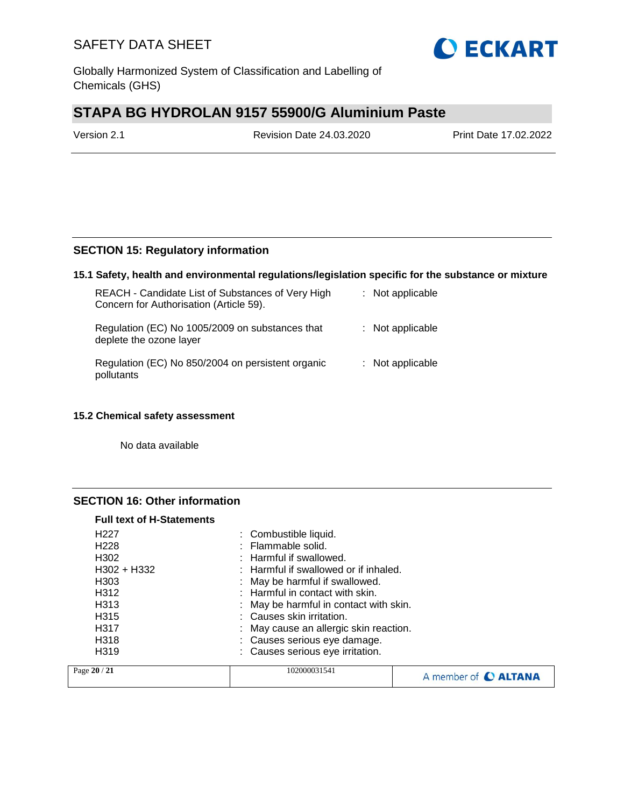

Globally Harmonized System of Classification and Labelling of Chemicals (GHS)

# **STAPA BG HYDROLAN 9157 55900/G Aluminium Paste**

Version 2.1 Revision Date 24.03.2020 Print Date 17.02.2022

### **SECTION 15: Regulatory information**

#### **15.1 Safety, health and environmental regulations/legislation specific for the substance or mixture**

| REACH - Candidate List of Substances of Very High<br>Concern for Authorisation (Article 59). | : Not applicable   |
|----------------------------------------------------------------------------------------------|--------------------|
| Regulation (EC) No 1005/2009 on substances that<br>deplete the ozone layer                   | $:$ Not applicable |
| Regulation (EC) No 850/2004 on persistent organic<br>pollutants                              | : Not applicable   |

#### **15.2 Chemical safety assessment**

No data available

#### **SECTION 16: Other information**

| <b>Full text of H-Statements</b> |                                        |                                       |                      |  |
|----------------------------------|----------------------------------------|---------------------------------------|----------------------|--|
| H <sub>22</sub> 7                |                                        | : Combustible liquid.                 |                      |  |
| H <sub>228</sub>                 |                                        | : Flammable solid.                    |                      |  |
| H <sub>302</sub>                 |                                        | : Harmful if swallowed.               |                      |  |
| $H302 + H332$                    |                                        | : Harmful if swallowed or if inhaled. |                      |  |
| H <sub>303</sub>                 |                                        | : May be harmful if swallowed.        |                      |  |
| H <sub>3</sub> 12                |                                        | $:$ Harmful in contact with skin.     |                      |  |
| H <sub>3</sub> 13                | : May be harmful in contact with skin. |                                       |                      |  |
| H <sub>315</sub>                 |                                        | : Causes skin irritation.             |                      |  |
| H <sub>317</sub>                 | : May cause an allergic skin reaction. |                                       |                      |  |
| H <sub>318</sub>                 | : Causes serious eye damage.           |                                       |                      |  |
| H <sub>3</sub> 19                |                                        | : Causes serious eye irritation.      |                      |  |
| Page 20 / 21                     | 102000031541                           |                                       | A member of C ALTANA |  |
|                                  |                                        |                                       |                      |  |